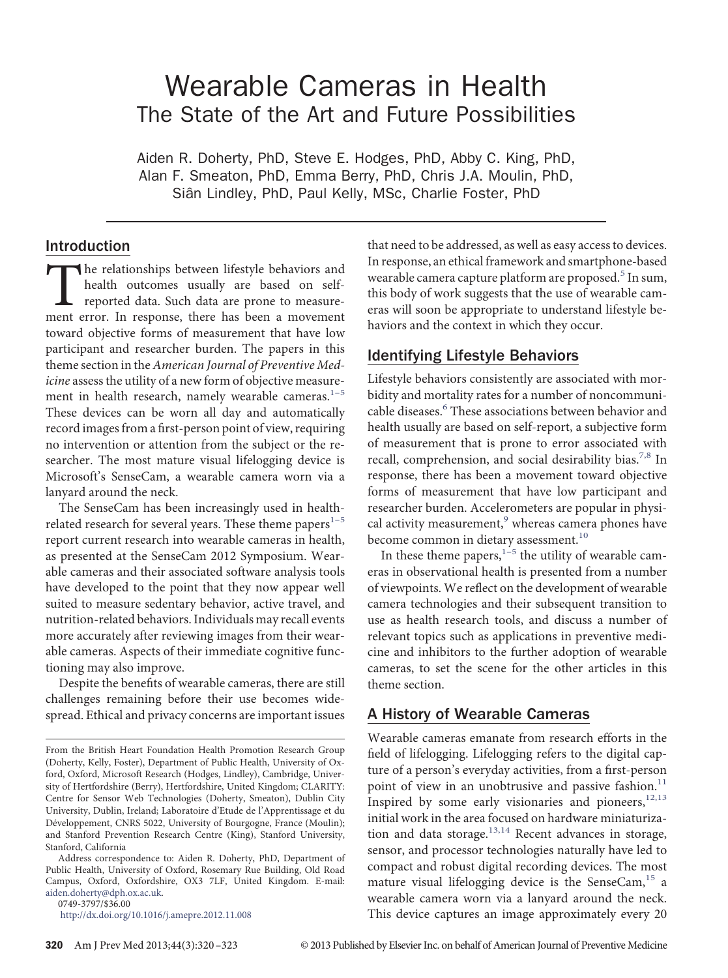# Wearable Cameras in Health The State of the Art and Future Possibilities

Aiden R. Doherty, PhD, Steve E. Hodges, PhD, Abby C. King, PhD, Alan F. Smeaton, PhD, Emma Berry, PhD, Chris J.A. Moulin, PhD, Siân Lindley, PhD, Paul Kelly, MSc, Charlie Foster, PhD

## Introduction

The relationships between lifestyle behaviors and health outcomes usually are based on self-<br>reported data. Such data are prone to measure-<br>ment error. In response, there has been a movement health outcomes usually are based on selfreported data. Such data are prone to measuretoward objective forms of measurement that have low participant and researcher burden. The papers in this theme section in the*American Journal of Preventive Medicine* assess the utility of a new form of objective measurement in health research, namely wearable cameras. $1-5$ These devices can be worn all day and automatically record images from a fırst-person point of view, requiring no intervention or attention from the subject or the researcher. The most mature visual lifelogging device is Microsoft's SenseCam, a wearable camera worn via a lanyard around the neck.

The SenseCam has been increasingly used in healthrelated research for several years. These theme papers $1-5$ report current research into wearable cameras in health, as presented at the SenseCam 2012 Symposium. Wearable cameras and their associated software analysis tools have developed to the point that they now appear well suited to measure sedentary behavior, active travel, and nutrition-related behaviors. Individuals may recall events more accurately after reviewing images from their wearable cameras. Aspects of their immediate cognitive functioning may also improve.

Despite the benefıts of wearable cameras, there are still challenges remaining before their use becomes widespread. Ethical and privacy concerns are important issues

Address correspondence to: Aiden R. Doherty, PhD, Department of Public Health, University of Oxford, Rosemary Rue Building, Old Road Campus, Oxford, Oxfordshire, OX3 7LF, United Kingdom. E-mail: [aiden.doherty@dph.ox.ac.uk.](mailto:aiden.doherty@dph.ox.ac.uk)

0749-3797/\$36.00

<http://dx.doi.org/10.1016/j.amepre.2012.11.008>

that need to be addressed, as well as easy access to devices. In response, an ethical framework and smartphone-based wearable camera capture platform are proposed.<sup>5</sup> In sum, this body of work suggests that the use of wearable cameras will soon be appropriate to understand lifestyle behaviors and the context in which they occur.

#### Identifying Lifestyle Behaviors

Lifestyle behaviors consistently are associated with morbidity and mortality rates for a number of noncommuni-cable diseases.<sup>[6](#page-2-2)</sup> These associations between behavior and health usually are based on self-report, a subjective form of measurement that is prone to error associated with recall, comprehension, and social desirability bias.<sup>7,8</sup> In response, there has been a movement toward objective forms of measurement that have low participant and researcher burden. Accelerometers are popular in physi-cal activity measurement,<sup>[9](#page-2-4)</sup> whereas camera phones have become common in dietary assessment.<sup>[10](#page-2-5)</sup>

In these theme papers, $1-5$  the utility of wearable cameras in observational health is presented from a number of viewpoints. We reflect on the development of wearable camera technologies and their subsequent transition to use as health research tools, and discuss a number of relevant topics such as applications in preventive medicine and inhibitors to the further adoption of wearable cameras, to set the scene for the other articles in this theme section.

# A History of Wearable Cameras

Wearable cameras emanate from research efforts in the fıeld of lifelogging. Lifelogging refers to the digital capture of a person's everyday activities, from a fırst-person point of view in an unobtrusive and passive fashion. $11$ Inspired by some early visionaries and pioneers, $12,13$ initial work in the area focused on hardware miniaturization and data storage.<sup>13,14</sup> Recent advances in storage, sensor, and processor technologies naturally have led to compact and robust digital recording devices. The most mature visual lifelogging device is the SenseCam, $15$  a wearable camera worn via a lanyard around the neck. This device captures an image approximately every 20

From the British Heart Foundation Health Promotion Research Group (Doherty, Kelly, Foster), Department of Public Health, University of Oxford, Oxford, Microsoft Research (Hodges, Lindley), Cambridge, University of Hertfordshire (Berry), Hertfordshire, United Kingdom; CLARITY: Centre for Sensor Web Technologies (Doherty, Smeaton), Dublin City University, Dublin, Ireland; Laboratoire d'Etude de l'Apprentissage et du Développement, CNRS 5022, University of Bourgogne, France (Moulin); and Stanford Prevention Research Centre (King), Stanford University, Stanford, California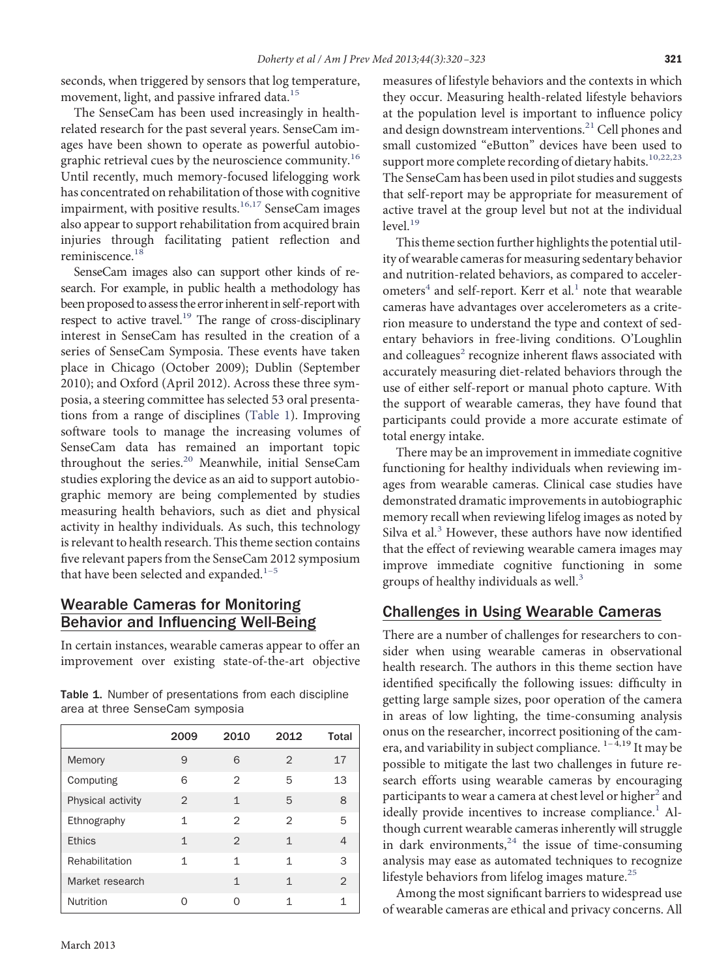seconds, when triggered by sensors that log temperature, movement, light, and passive infrared data.<sup>[15](#page-2-9)</sup>

The SenseCam has been used increasingly in healthrelated research for the past several years. SenseCam images have been shown to operate as powerful autobio-graphic retrieval cues by the neuroscience community.<sup>[16](#page-2-10)</sup> Until recently, much memory-focused lifelogging work has concentrated on rehabilitation of those with cognitive impairment, with positive results. $16,17$  SenseCam images also appear to support rehabilitation from acquired brain injuries through facilitating patient reflection and reminiscence.<sup>[18](#page-2-11)</sup>

SenseCam images also can support other kinds of research. For example, in public health a methodology has been proposed to assess the error inherent in self-report with respect to active travel.<sup>19</sup> The range of cross-disciplinary interest in SenseCam has resulted in the creation of a series of SenseCam Symposia. These events have taken place in Chicago (October 2009); Dublin (September 2010); and Oxford (April 2012). Across these three symposia, a steering committee has selected 53 oral presentations from a range of disciplines [\(Table 1\)](#page-1-0). Improving software tools to manage the increasing volumes of SenseCam data has remained an important topic throughout the series.<sup>20</sup> Meanwhile, initial SenseCam studies exploring the device as an aid to support autobiographic memory are being complemented by studies measuring health behaviors, such as diet and physical activity in healthy individuals. As such, this technology is relevant to health research. This theme section contains fıve relevant papers from the SenseCam 2012 symposium that have been selected and expanded. $1-5$ 

## Wearable Cameras for Monitoring Behavior and Influencing Well-Being

In certain instances, wearable cameras appear to offer an improvement over existing state-of-the-art objective

|                   | 2009           | 2010          | 2012         | Total         |
|-------------------|----------------|---------------|--------------|---------------|
| Memory            | 9              | 6             | 2            | 17            |
| Computing         | 6              | 2             | 5            | 13            |
| Physical activity | $\overline{2}$ | 1             | 5            | 8             |
| Ethnography       | 1              | 2             | 2            | 5             |
| <b>Ethics</b>     | $\mathbf{1}$   | $\mathcal{P}$ | $\mathbf{1}$ | 4             |
| Rehabilitation    | 1              | 1             | 1            | 3             |
| Market research   |                | 1             | $\mathbf{1}$ | $\mathcal{P}$ |
| Nutrition         |                | ∩             | 1            | 1             |

<span id="page-1-0"></span>Table 1. Number of presentations from each discipline area at three SenseCam symposia

measures of lifestyle behaviors and the contexts in which they occur. Measuring health-related lifestyle behaviors at the population level is important to influence policy and design downstream interventions.<sup>21</sup> Cell phones and small customized "eButton" devices have been used to support more complete recording of dietary habits.<sup>10,22,23</sup> The SenseCam has been used in pilot studies and suggests that self-report may be appropriate for measurement of active travel at the group level but not at the individual  $level.<sup>19</sup>$  $level.<sup>19</sup>$  $level.<sup>19</sup>$ 

This theme section further highlights the potential utility of wearable cameras for measuring sedentary behavior and nutrition-related behaviors, as compared to acceler-ometers<sup>[4](#page-2-13)</sup> and self-report. Kerr et al.<sup>[1](#page-2-0)</sup> note that wearable cameras have advantages over accelerometers as a criterion measure to understand the type and context of sedentary behaviors in free-living conditions. O'Loughlin and colleagues<sup>[2](#page-2-14)</sup> recognize inherent flaws associated with accurately measuring diet-related behaviors through the use of either self-report or manual photo capture. With the support of wearable cameras, they have found that participants could provide a more accurate estimate of total energy intake.

There may be an improvement in immediate cognitive functioning for healthy individuals when reviewing images from wearable cameras. Clinical case studies have demonstrated dramatic improvements in autobiographic memory recall when reviewing lifelog images as noted by Silva et al. $3$  However, these authors have now identified that the effect of reviewing wearable camera images may improve immediate cognitive functioning in some groups of healthy individuals as well. $3$ 

#### Challenges in Using Wearable Cameras

There are a number of challenges for researchers to consider when using wearable cameras in observational health research. The authors in this theme section have identifıed specifıcally the following issues: diffıculty in getting large sample sizes, poor operation of the camera in areas of low lighting, the time-consuming analysis onus on the researcher, incorrect positioning of the camera, and variability in subject compliance.  $1-4,19$  It may be possible to mitigate the last two challenges in future research efforts using wearable cameras by encouraging participants to wear a camera at chest level or higher<sup>2</sup> and ideally provide incentives to increase compliance.<sup>[1](#page-2-0)</sup> Although current wearable cameras inherently will struggle in dark environments, $^{24}$  $^{24}$  $^{24}$  the issue of time-consuming analysis may ease as automated techniques to recognize lifestyle behaviors from lifelog images mature. $^{25}$  $^{25}$  $^{25}$ 

Among the most signifıcant barriers to widespread use of wearable cameras are ethical and privacy concerns. All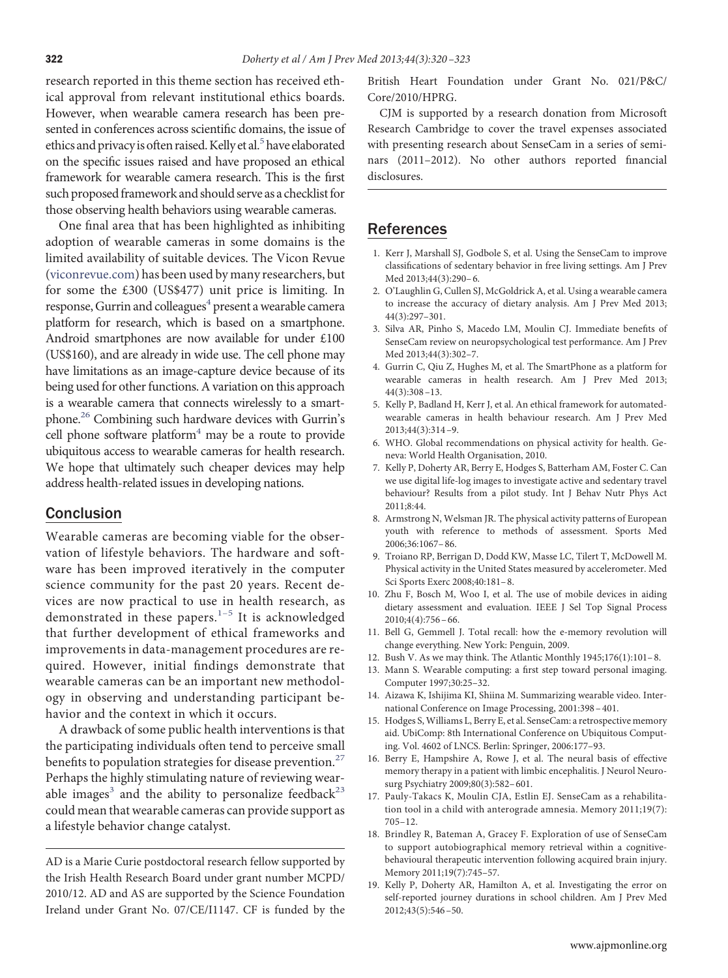research reported in this theme section has received ethical approval from relevant institutional ethics boards. However, when wearable camera research has been presented in conferences across scientifıc domains, the issue of ethics and privacy is often raised. Kelly et al.<sup>5</sup> have elaborated on the specifıc issues raised and have proposed an ethical framework for wearable camera research. This is the fırst such proposed framework and should serve as a checklist for those observing health behaviors using wearable cameras.

One final area that has been highlighted as inhibiting adoption of wearable cameras in some domains is the limited availability of suitable devices. The Vicon Revue [\(viconrevue.com\)](http://viconrevue.com) has been used by many researchers, but for some the £300 (US\$477) unit price is limiting. In response, Gurrin and colleagues<sup>4</sup> present a wearable camera platform for research, which is based on a smartphone. Android smartphones are now available for under £100 (US\$160), and are already in wide use. The cell phone may have limitations as an image-capture device because of its being used for other functions. A variation on this approach is a wearable camera that connects wirelessly to a smartphone.<sup>26</sup> Combining such hardware devices with Gurrin's cell phone software platform $4$  may be a route to provide ubiquitous access to wearable cameras for health research. We hope that ultimately such cheaper devices may help address health-related issues in developing nations.

#### Conclusion

Wearable cameras are becoming viable for the observation of lifestyle behaviors. The hardware and software has been improved iteratively in the computer science community for the past 20 years. Recent devices are now practical to use in health research, as demonstrated in these papers. $1-5$  It is acknowledged that further development of ethical frameworks and improvements in data-management procedures are required. However, initial fındings demonstrate that wearable cameras can be an important new methodology in observing and understanding participant behavior and the context in which it occurs.

A drawback of some public health interventions is that the participating individuals often tend to perceive small benefits to population strategies for disease prevention. $27$ Perhaps the highly stimulating nature of reviewing wearable images<sup>3</sup> and the ability to personalize feedback<sup>23</sup> could mean that wearable cameras can provide support as a lifestyle behavior change catalyst.

AD is a Marie Curie postdoctoral research fellow supported by the Irish Health Research Board under grant number MCPD/ 2010/12. AD and AS are supported by the Science Foundation Ireland under Grant No. 07/CE/I1147. CF is funded by the

British Heart Foundation under Grant No. 021/P&C/ Core/2010/HPRG.

CJM is supported by a research donation from Microsoft Research Cambridge to cover the travel expenses associated with presenting research about SenseCam in a series of seminars (2011–2012). No other authors reported fınancial disclosures.

#### <span id="page-2-0"></span>References

- 1. Kerr J, Marshall SJ, Godbole S, et al. Using the SenseCam to improve classifıcations of sedentary behavior in free living settings. Am J Prev Med 2013;44(3):290– 6.
- <span id="page-2-14"></span>2. O'Laughlin G, Cullen SJ, McGoldrick A, et al. Using a wearable camera to increase the accuracy of dietary analysis. Am J Prev Med 2013; 44(3):297–301.
- <span id="page-2-15"></span>3. Silva AR, Pinho S, Macedo LM, Moulin CJ. Immediate benefıts of SenseCam review on neuropsychological test performance. Am J Prev Med 2013;44(3):302–7.
- <span id="page-2-13"></span>4. Gurrin C, Qiu Z, Hughes M, et al. The SmartPhone as a platform for wearable cameras in health research. Am J Prev Med 2013; 44(3):308 –13.
- <span id="page-2-1"></span>5. Kelly P, Badland H, Kerr J, et al. An ethical framework for automatedwearable cameras in health behaviour research. Am J Prev Med 2013;44(3):314 –9.
- <span id="page-2-3"></span><span id="page-2-2"></span>6. WHO. Global recommendations on physical activity for health. Geneva: World Health Organisation, 2010.
- 7. Kelly P, Doherty AR, Berry E, Hodges S, Batterham AM, Foster C. Can we use digital life-log images to investigate active and sedentary travel behaviour? Results from a pilot study. Int J Behav Nutr Phys Act 2011;8:44.
- 8. Armstrong N, Welsman JR. The physical activity patterns of European youth with reference to methods of assessment. Sports Med 2006;36:1067– 86.
- <span id="page-2-4"></span>9. Troiano RP, Berrigan D, Dodd KW, Masse LC, Tilert T, McDowell M. Physical activity in the United States measured by accelerometer. Med Sci Sports Exerc 2008;40:181– 8.
- <span id="page-2-5"></span>10. Zhu F, Bosch M, Woo I, et al. The use of mobile devices in aiding dietary assessment and evaluation. IEEE J Sel Top Signal Process  $2010;4(4):756-66.$
- <span id="page-2-7"></span><span id="page-2-6"></span>11. Bell G, Gemmell J. Total recall: how the e-memory revolution will change everything. New York: Penguin, 2009.
- <span id="page-2-8"></span>12. Bush V. As we may think. The Atlantic Monthly 1945;176(1):101– 8.
- 13. Mann S. Wearable computing: a fırst step toward personal imaging. Computer 1997;30:25–32.
- <span id="page-2-9"></span>14. Aizawa K, Ishijima KI, Shiina M. Summarizing wearable video. International Conference on Image Processing, 2001:398 – 401.
- 15. Hodges S,Williams L, Berry E, et al. SenseCam: a retrospective memory aid. UbiComp: 8th International Conference on Ubiquitous Computing. Vol. 4602 of LNCS. Berlin: Springer, 2006:177–93.
- <span id="page-2-10"></span>16. Berry E, Hampshire A, Rowe J, et al. The neural basis of effective memory therapy in a patient with limbic encephalitis. J Neurol Neurosurg Psychiatry 2009;80(3):582– 601.
- 17. Pauly-Takacs K, Moulin CJA, Estlin EJ. SenseCam as a rehabilitation tool in a child with anterograde amnesia. Memory 2011;19(7): 705–12.
- <span id="page-2-11"></span>18. Brindley R, Bateman A, Gracey F. Exploration of use of SenseCam to support autobiographical memory retrieval within a cognitivebehavioural therapeutic intervention following acquired brain injury. Memory 2011;19(7):745–57.
- <span id="page-2-12"></span>19. Kelly P, Doherty AR, Hamilton A, et al. Investigating the error on self-reported journey durations in school children. Am J Prev Med 2012;43(5):546 –50.